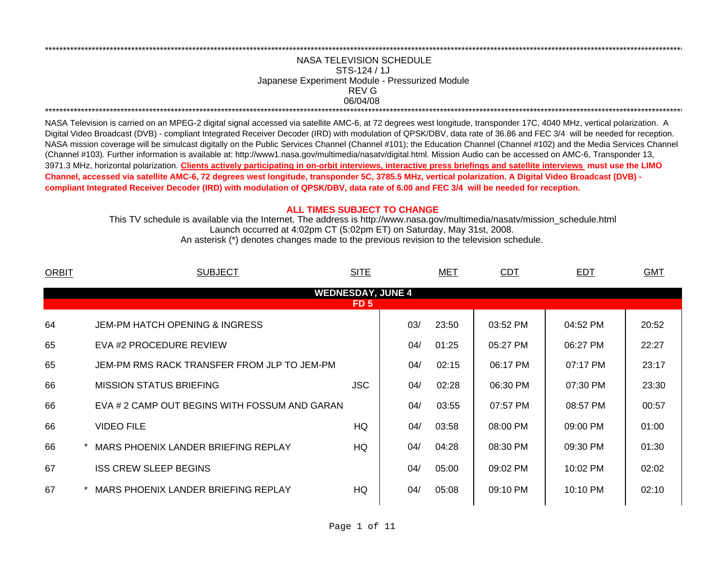## 06/04/08 \*\*\*\*\*\*\*\*\*\*\*\*\*\*\*\*\*\*\*\*\*\*\*\*\*\*\*\*\*\*\*\*\*\*\*\*\*\*\*\*\*\*\*\*\*\*\*\*\*\*\*\*\*\*\*\*\*\*\*\*\*\*\*\*\*\*\*\*\*\*\*\*\*\*\*\*\*\*\*\*\*\*\*\*\*\*\*\*\*\*\*\*\*\*\*\*\*\*\*\*\*\*\*\*\*\*\*\*\*\*\*\*\*\*\*\*\*\*\*\*\*\*\*\*\*\*\*\*\*\*\*\*\*\*\*\*\*\*\*\*\*\*\*\*\*\*\*\*\*\*\*\*\*\*\*\*\*\*\*\*\*\*\*\*\*\*\*\*\*\*\*\*\*\*\*\*\*\*REV GNASA TELEVISION SCHEDULESTS-124 / 1JJapanese Experiment Module - Pressurized Module

\*\*\*\*\*\*\*\*\*\*\*\*\*\*\*\*\*\*\*\*\*\*\*\*\*\*\*\*\*\*\*\*\*\*\*\*\*\*\*\*\*\*\*\*\*\*\*\*\*\*\*\*\*\*\*\*\*\*\*\*\*\*\*\*\*\*\*\*\*\*\*\*\*\*\*\*\*\*\*\*\*\*\*\*\*\*\*\*\*\*\*\*\*\*\*\*\*\*\*\*\*\*\*\*\*\*\*\*\*\*\*\*\*\*\*\*\*\*\*\*\*\*\*\*\*\*\*\*\*\*\*\*\*\*\*\*\*\*\*\*\*\*\*\*\*\*\*\*\*\*\*\*\*\*\*\*\*\*\*\*\*\*\*\*\*\*\*\*\*\*\*\*\*\*\*\*\*\*

NASA Television is carried on an MPEG-2 digital signal accessed via satellite AMC-6, at 72 degrees west longitude, transponder 17C, 4040 MHz, vertical polarization. A Digital Video Broadcast (DVB) - compliant Integrated Receiver Decoder (IRD) with modulation of QPSK/DBV, data rate of 36.86 and FEC 3/4 will be needed for reception. NASA mission coverage will be simulcast digitally on the Public Services Channel (Channel #101); the Education Channel (Channel #102) and the Media Services Channel (Channel #103). Further information is available at: http://www1.nasa.gov/multimedia/nasatv/digital.html. Mission Audio can be accessed on AMC-6, Transponder 13, 3971.3 MHz, horizontal polarization. **Clients actively participating in on-orbit interviews, interactive press briefings and satellite interviews must use the LIMO Channel, accessed via satellite AMC-6, 72 degrees west longitude, transponder 5C, 3785.5 MHz, vertical polarization. A Digital Video Broadcast (DVB) compliant Integrated Receiver Decoder (IRD) with modulation of QPSK/DBV, data rate of 6.00 and FEC 3/4 will be needed for reception.**

## **ALL TIMES SUBJECT TO CHANGE**

Launch occurred at 4:02pm CT (5:02pm ET) on Saturday, May 31st, 2008. This TV schedule is available via the Internet. The address is http://www.nasa.gov/multimedia/nasatv/mission\_schedule.html

An asterisk (\*) denotes changes made to the previous revision to the television schedule.

| <b>ORBIT</b> | <b>SUBJECT</b>                                | <b>SITE</b>     |                          | MET   | CDT      | <b>EDT</b> | GMT   |
|--------------|-----------------------------------------------|-----------------|--------------------------|-------|----------|------------|-------|
|              |                                               |                 | <b>WEDNESDAY, JUNE 4</b> |       |          |            |       |
|              |                                               | FD <sub>5</sub> |                          |       |          |            |       |
| 64           | <b>JEM-PM HATCH OPENING &amp; INGRESS</b>     |                 | 03/                      | 23:50 | 03:52 PM | 04:52 PM   | 20:52 |
| 65           | EVA #2 PROCEDURE REVIEW                       |                 | 04/                      | 01:25 | 05:27 PM | 06:27 PM   | 22:27 |
| 65           | JEM-PM RMS RACK TRANSFER FROM JLP TO JEM-PM   |                 | 04/                      | 02:15 | 06:17 PM | 07:17 PM   | 23:17 |
| 66           | <b>MISSION STATUS BRIEFING</b>                | <b>JSC</b>      | 04/                      | 02:28 | 06:30 PM | 07:30 PM   | 23:30 |
| 66           | EVA # 2 CAMP OUT BEGINS WITH FOSSUM AND GARAN |                 | 04/                      | 03:55 | 07:57 PM | 08:57 PM   | 00:57 |
| 66           | <b>VIDEO FILE</b>                             | HQ              | 04/                      | 03:58 | 08:00 PM | 09:00 PM   | 01:00 |
| 66           | MARS PHOENIX LANDER BRIEFING REPLAY           | HQ              | 04/                      | 04:28 | 08:30 PM | 09:30 PM   | 01:30 |
| 67           | <b>ISS CREW SLEEP BEGINS</b>                  |                 | 04/                      | 05:00 | 09:02 PM | 10:02 PM   | 02:02 |
| 67           | MARS PHOENIX LANDER BRIEFING REPLAY           | HQ              | 04/                      | 05:08 | 09:10 PM | 10:10 PM   | 02:10 |
|              |                                               |                 |                          |       |          |            |       |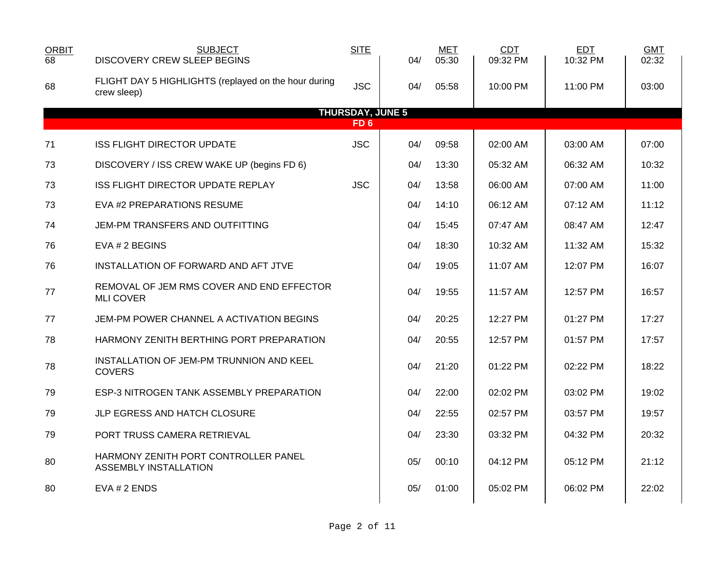| <b>ORBIT</b><br>68 | <b>SUBJECT</b><br>DISCOVERY CREW SLEEP BEGINS                        | <b>SITE</b>             | 04/ | <b>MET</b><br>05:30 | <b>CDT</b><br>09:32 PM | <b>EDT</b><br>10:32 PM | <b>GMT</b><br>02:32 |  |
|--------------------|----------------------------------------------------------------------|-------------------------|-----|---------------------|------------------------|------------------------|---------------------|--|
| 68                 | FLIGHT DAY 5 HIGHLIGHTS (replayed on the hour during<br>crew sleep)  | <b>JSC</b>              | 04/ | 05:58               | 10:00 PM               | 11:00 PM               | 03:00               |  |
|                    |                                                                      | <b>THURSDAY, JUNE 5</b> |     |                     |                        |                        |                     |  |
|                    |                                                                      | FD <sub>6</sub>         |     |                     |                        |                        |                     |  |
| 71                 | <b>ISS FLIGHT DIRECTOR UPDATE</b>                                    | <b>JSC</b>              | 04/ | 09:58               | 02:00 AM               | 03:00 AM               | 07:00               |  |
| 73                 | DISCOVERY / ISS CREW WAKE UP (begins FD 6)                           |                         | 04/ | 13:30               | 05:32 AM               | 06:32 AM               | 10:32               |  |
| 73                 | ISS FLIGHT DIRECTOR UPDATE REPLAY                                    | <b>JSC</b>              | 04/ | 13:58               | 06:00 AM               | 07:00 AM               | 11:00               |  |
| 73                 | EVA #2 PREPARATIONS RESUME                                           |                         | 04/ | 14:10               | 06:12 AM               | 07:12 AM               | 11:12               |  |
| 74                 | JEM-PM TRANSFERS AND OUTFITTING                                      |                         | 04/ | 15:45               | 07:47 AM               | 08:47 AM               | 12:47               |  |
| 76                 | EVA # 2 BEGINS                                                       |                         | 04/ | 18:30               | 10:32 AM               | 11:32 AM               | 15:32               |  |
| 76                 | INSTALLATION OF FORWARD AND AFT JTVE                                 |                         | 04/ | 19:05               | 11:07 AM               | 12:07 PM               | 16:07               |  |
| 77                 | REMOVAL OF JEM RMS COVER AND END EFFECTOR<br><b>MLI COVER</b>        |                         | 04/ | 19:55               | 11:57 AM               | 12:57 PM               | 16:57               |  |
| 77                 | JEM-PM POWER CHANNEL A ACTIVATION BEGINS                             |                         | 04/ | 20:25               | 12:27 PM               | 01:27 PM               | 17:27               |  |
| 78                 | HARMONY ZENITH BERTHING PORT PREPARATION                             |                         | 04/ | 20:55               | 12:57 PM               | 01:57 PM               | 17:57               |  |
| 78                 | INSTALLATION OF JEM-PM TRUNNION AND KEEL<br><b>COVERS</b>            |                         | 04/ | 21:20               | 01:22 PM               | 02:22 PM               | 18:22               |  |
| 79                 | ESP-3 NITROGEN TANK ASSEMBLY PREPARATION                             |                         | 04/ | 22:00               | 02:02 PM               | 03:02 PM               | 19:02               |  |
| 79                 | JLP EGRESS AND HATCH CLOSURE                                         |                         | 04/ | 22:55               | 02:57 PM               | 03:57 PM               | 19:57               |  |
| 79                 | PORT TRUSS CAMERA RETRIEVAL                                          |                         | 04/ | 23:30               | 03:32 PM               | 04:32 PM               | 20:32               |  |
| 80                 | HARMONY ZENITH PORT CONTROLLER PANEL<br><b>ASSEMBLY INSTALLATION</b> |                         | 05/ | 00:10               | 04:12 PM               | 05:12 PM               | 21:12               |  |
| 80                 | EVA # 2 ENDS                                                         |                         | 05/ | 01:00               | 05:02 PM               | 06:02 PM               | 22:02               |  |
|                    |                                                                      |                         |     |                     |                        |                        |                     |  |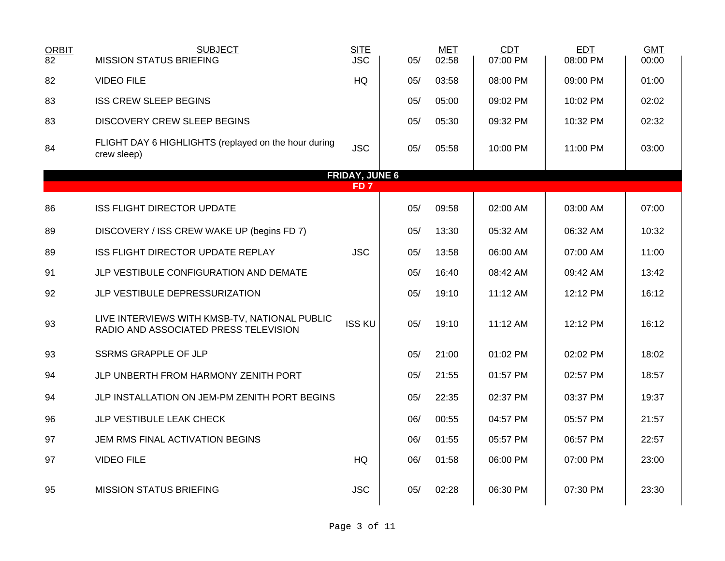| <b>ORBIT</b><br>82 | <b>SUBJECT</b><br><b>MISSION STATUS BRIEFING</b>                                       | <b>SITE</b><br><b>JSC</b> | 05/ | <b>MET</b><br>02:58 | <b>CDT</b><br>07:00 PM | <b>EDT</b><br>08:00 PM | <b>GMT</b><br>00:00 |
|--------------------|----------------------------------------------------------------------------------------|---------------------------|-----|---------------------|------------------------|------------------------|---------------------|
| 82                 | <b>VIDEO FILE</b>                                                                      | HQ                        | 05/ | 03:58               | 08:00 PM               | 09:00 PM               | 01:00               |
| 83                 | <b>ISS CREW SLEEP BEGINS</b>                                                           |                           | 05/ | 05:00               | 09:02 PM               | 10:02 PM               | 02:02               |
| 83                 | <b>DISCOVERY CREW SLEEP BEGINS</b>                                                     |                           | 05/ | 05:30               | 09:32 PM               | 10:32 PM               | 02:32               |
| 84                 | FLIGHT DAY 6 HIGHLIGHTS (replayed on the hour during<br>crew sleep)                    | <b>JSC</b>                | 05/ | 05:58               | 10:00 PM               | 11:00 PM               | 03:00               |
|                    |                                                                                        | <b>FRIDAY, JUNE 6</b>     |     |                     |                        |                        |                     |
|                    |                                                                                        | FD <sub>7</sub>           |     |                     |                        |                        |                     |
| 86                 | <b>ISS FLIGHT DIRECTOR UPDATE</b>                                                      |                           | 05/ | 09:58               | 02:00 AM               | 03:00 AM               | 07:00               |
| 89                 | DISCOVERY / ISS CREW WAKE UP (begins FD 7)                                             |                           | 05/ | 13:30               | 05:32 AM               | 06:32 AM               | 10:32               |
| 89                 | ISS FLIGHT DIRECTOR UPDATE REPLAY                                                      | <b>JSC</b>                | 05/ | 13:58               | 06:00 AM               | 07:00 AM               | 11:00               |
| 91                 | JLP VESTIBULE CONFIGURATION AND DEMATE                                                 |                           | 05/ | 16:40               | 08:42 AM               | 09:42 AM               | 13:42               |
| 92                 | JLP VESTIBULE DEPRESSURIZATION                                                         |                           | 05/ | 19:10               | 11:12 AM               | 12:12 PM               | 16:12               |
| 93                 | LIVE INTERVIEWS WITH KMSB-TV, NATIONAL PUBLIC<br>RADIO AND ASSOCIATED PRESS TELEVISION | <b>ISS KU</b>             | 05/ | 19:10               | 11:12 AM               | 12:12 PM               | 16:12               |
| 93                 | <b>SSRMS GRAPPLE OF JLP</b>                                                            |                           | 05/ | 21:00               | 01:02 PM               | 02:02 PM               | 18:02               |
| 94                 | JLP UNBERTH FROM HARMONY ZENITH PORT                                                   |                           | 05/ | 21:55               | 01:57 PM               | 02:57 PM               | 18:57               |
| 94                 | JLP INSTALLATION ON JEM-PM ZENITH PORT BEGINS                                          |                           | 05/ | 22:35               | 02:37 PM               | 03:37 PM               | 19:37               |
| 96                 | JLP VESTIBULE LEAK CHECK                                                               |                           | 06/ | 00:55               | 04:57 PM               | 05:57 PM               | 21:57               |
| 97                 | JEM RMS FINAL ACTIVATION BEGINS                                                        |                           | 06/ | 01:55               | 05:57 PM               | 06:57 PM               | 22:57               |
| 97                 | <b>VIDEO FILE</b>                                                                      | HQ                        | 06/ | 01:58               | 06:00 PM               | 07:00 PM               | 23:00               |
| 95                 | <b>MISSION STATUS BRIEFING</b>                                                         | <b>JSC</b>                | 05/ | 02:28               | 06:30 PM               | 07:30 PM               | 23:30               |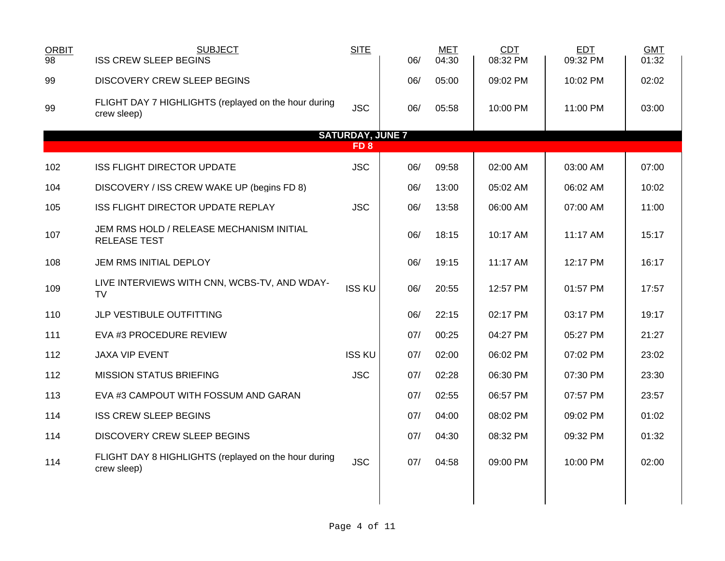| <b>ORBIT</b><br>98 | <b>SUBJECT</b><br><b>ISS CREW SLEEP BEGINS</b>                      | <b>SITE</b>             | 06/ | <b>MET</b><br>04:30 | <b>CDT</b><br>08:32 PM | <b>EDT</b><br>09:32 PM | <b>GMT</b><br>01:32 |  |
|--------------------|---------------------------------------------------------------------|-------------------------|-----|---------------------|------------------------|------------------------|---------------------|--|
| 99                 | <b>DISCOVERY CREW SLEEP BEGINS</b>                                  |                         | 06/ | 05:00               | 09:02 PM               | 10:02 PM               | 02:02               |  |
| 99                 | FLIGHT DAY 7 HIGHLIGHTS (replayed on the hour during<br>crew sleep) | <b>JSC</b>              | 06/ | 05:58               | 10:00 PM               | 11:00 PM               | 03:00               |  |
|                    |                                                                     | <b>SATURDAY, JUNE 7</b> |     |                     |                        |                        |                     |  |
|                    |                                                                     | FD <sub>8</sub>         |     |                     |                        |                        |                     |  |
| 102                | <b>ISS FLIGHT DIRECTOR UPDATE</b>                                   | <b>JSC</b>              | 06/ | 09:58               | 02:00 AM               | 03:00 AM               | 07:00               |  |
| 104                | DISCOVERY / ISS CREW WAKE UP (begins FD 8)                          |                         | 06/ | 13:00               | 05:02 AM               | 06:02 AM               | 10:02               |  |
| 105                | ISS FLIGHT DIRECTOR UPDATE REPLAY                                   | <b>JSC</b>              | 06/ | 13:58               | 06:00 AM               | 07:00 AM               | 11:00               |  |
| 107                | JEM RMS HOLD / RELEASE MECHANISM INITIAL<br><b>RELEASE TEST</b>     |                         | 06/ | 18:15               | 10:17 AM               | 11:17 AM               | 15:17               |  |
| 108                | JEM RMS INITIAL DEPLOY                                              |                         | 06/ | 19:15               | 11:17 AM               | 12:17 PM               | 16:17               |  |
| 109                | LIVE INTERVIEWS WITH CNN, WCBS-TV, AND WDAY-<br><b>TV</b>           | <b>ISS KU</b>           | 06/ | 20:55               | 12:57 PM               | 01:57 PM               | 17:57               |  |
| 110                | JLP VESTIBULE OUTFITTING                                            |                         | 06/ | 22:15               | 02:17 PM               | 03:17 PM               | 19:17               |  |
| 111                | EVA #3 PROCEDURE REVIEW                                             |                         | 07/ | 00:25               | 04:27 PM               | 05:27 PM               | 21:27               |  |
| 112                | <b>JAXA VIP EVENT</b>                                               | <b>ISS KU</b>           | 07/ | 02:00               | 06:02 PM               | 07:02 PM               | 23:02               |  |
| 112                | <b>MISSION STATUS BRIEFING</b>                                      | <b>JSC</b>              | 07/ | 02:28               | 06:30 PM               | 07:30 PM               | 23:30               |  |
| 113                | EVA #3 CAMPOUT WITH FOSSUM AND GARAN                                |                         | 07/ | 02:55               | 06:57 PM               | 07:57 PM               | 23:57               |  |
| 114                | <b>ISS CREW SLEEP BEGINS</b>                                        |                         | 07/ | 04:00               | 08:02 PM               | 09:02 PM               | 01:02               |  |
| 114                | <b>DISCOVERY CREW SLEEP BEGINS</b>                                  |                         | 07/ | 04:30               | 08:32 PM               | 09:32 PM               | 01:32               |  |
| 114                | FLIGHT DAY 8 HIGHLIGHTS (replayed on the hour during<br>crew sleep) | <b>JSC</b>              | 07/ | 04:58               | 09:00 PM               | 10:00 PM               | 02:00               |  |
|                    |                                                                     |                         |     |                     |                        |                        |                     |  |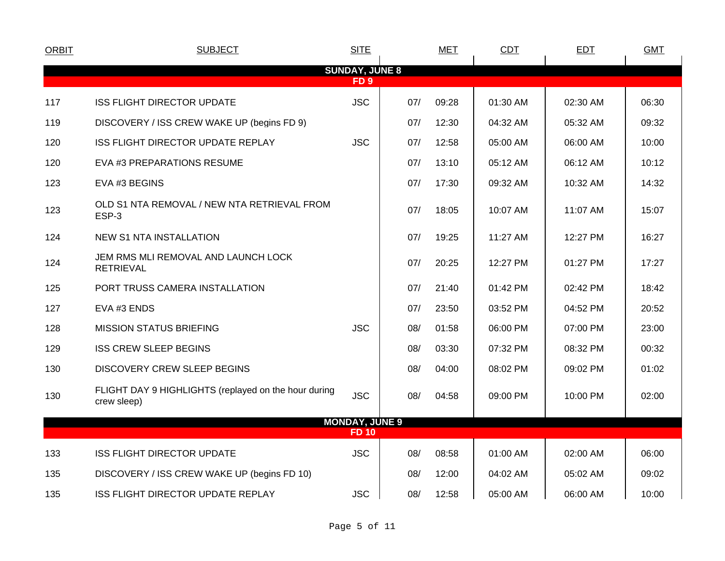| <b>ORBIT</b> | <b>SUBJECT</b>                                                      | <b>SITE</b>           |     | <b>MET</b> | CDT      | <b>EDT</b> | <b>GMT</b> |
|--------------|---------------------------------------------------------------------|-----------------------|-----|------------|----------|------------|------------|
|              |                                                                     | <b>SUNDAY, JUNE 8</b> |     |            |          |            |            |
|              |                                                                     | FD <sub>9</sub>       |     |            |          |            |            |
| 117          | <b>ISS FLIGHT DIRECTOR UPDATE</b>                                   | <b>JSC</b>            | 07/ | 09:28      | 01:30 AM | 02:30 AM   | 06:30      |
| 119          | DISCOVERY / ISS CREW WAKE UP (begins FD 9)                          |                       | 07/ | 12:30      | 04:32 AM | 05:32 AM   | 09:32      |
| 120          | ISS FLIGHT DIRECTOR UPDATE REPLAY                                   | <b>JSC</b>            | 07/ | 12:58      | 05:00 AM | 06:00 AM   | 10:00      |
| 120          | EVA #3 PREPARATIONS RESUME                                          |                       | 07/ | 13:10      | 05:12 AM | 06:12 AM   | 10:12      |
| 123          | EVA #3 BEGINS                                                       |                       | 07/ | 17:30      | 09:32 AM | 10:32 AM   | 14:32      |
| 123          | OLD S1 NTA REMOVAL / NEW NTA RETRIEVAL FROM<br>ESP-3                |                       | 07/ | 18:05      | 10:07 AM | 11:07 AM   | 15:07      |
| 124          | <b>NEW S1 NTA INSTALLATION</b>                                      |                       | 07/ | 19:25      | 11:27 AM | 12:27 PM   | 16:27      |
| 124          | JEM RMS MLI REMOVAL AND LAUNCH LOCK<br><b>RETRIEVAL</b>             |                       | 07/ | 20:25      | 12:27 PM | 01:27 PM   | 17:27      |
| 125          | PORT TRUSS CAMERA INSTALLATION                                      |                       | 07/ | 21:40      | 01:42 PM | 02:42 PM   | 18:42      |
| 127          | EVA #3 ENDS                                                         |                       | 07/ | 23:50      | 03:52 PM | 04:52 PM   | 20:52      |
| 128          | <b>MISSION STATUS BRIEFING</b>                                      | <b>JSC</b>            | 08/ | 01:58      | 06:00 PM | 07:00 PM   | 23:00      |
| 129          | <b>ISS CREW SLEEP BEGINS</b>                                        |                       | 08/ | 03:30      | 07:32 PM | 08:32 PM   | 00:32      |
| 130          | <b>DISCOVERY CREW SLEEP BEGINS</b>                                  |                       | 08/ | 04:00      | 08:02 PM | 09:02 PM   | 01:02      |
| 130          | FLIGHT DAY 9 HIGHLIGHTS (replayed on the hour during<br>crew sleep) | <b>JSC</b>            | 08/ | 04:58      | 09:00 PM | 10:00 PM   | 02:00      |
|              |                                                                     | <b>MONDAY, JUNE 9</b> |     |            |          |            |            |
|              |                                                                     | <b>FD 10</b>          |     |            |          |            |            |
| 133          | <b>ISS FLIGHT DIRECTOR UPDATE</b>                                   | <b>JSC</b>            | 08/ | 08:58      | 01:00 AM | 02:00 AM   | 06:00      |
| 135          | DISCOVERY / ISS CREW WAKE UP (begins FD 10)                         |                       | 08/ | 12:00      | 04:02 AM | 05:02 AM   | 09:02      |
| 135          | ISS FLIGHT DIRECTOR UPDATE REPLAY                                   | <b>JSC</b>            | 08/ | 12:58      | 05:00 AM | 06:00 AM   | 10:00      |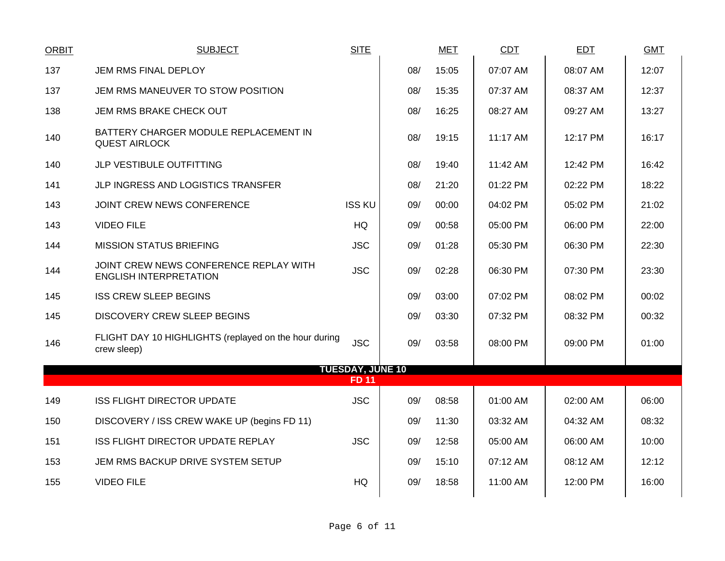| ORBIT | <b>SUBJECT</b>                                                          | <b>SITE</b>                             |     | <b>MET</b> | <b>CDT</b> | <b>EDT</b> | <b>GMT</b> |
|-------|-------------------------------------------------------------------------|-----------------------------------------|-----|------------|------------|------------|------------|
| 137   | JEM RMS FINAL DEPLOY                                                    |                                         | 08/ | 15:05      | 07:07 AM   | 08:07 AM   | 12:07      |
| 137   | JEM RMS MANEUVER TO STOW POSITION                                       |                                         | 08/ | 15:35      | 07:37 AM   | 08:37 AM   | 12:37      |
| 138   | JEM RMS BRAKE CHECK OUT                                                 |                                         | 08/ | 16:25      | 08:27 AM   | 09:27 AM   | 13:27      |
| 140   | BATTERY CHARGER MODULE REPLACEMENT IN<br><b>QUEST AIRLOCK</b>           |                                         | 08/ | 19:15      | 11:17 AM   | 12:17 PM   | 16:17      |
| 140   | JLP VESTIBULE OUTFITTING                                                |                                         | 08/ | 19:40      | 11:42 AM   | 12:42 PM   | 16:42      |
| 141   | JLP INGRESS AND LOGISTICS TRANSFER                                      |                                         | 08/ | 21:20      | 01:22 PM   | 02:22 PM   | 18:22      |
| 143   | JOINT CREW NEWS CONFERENCE                                              | <b>ISS KU</b>                           | 09/ | 00:00      | 04:02 PM   | 05:02 PM   | 21:02      |
| 143   | <b>VIDEO FILE</b>                                                       | <b>HQ</b>                               | 09/ | 00:58      | 05:00 PM   | 06:00 PM   | 22:00      |
| 144   | <b>MISSION STATUS BRIEFING</b>                                          | <b>JSC</b>                              | 09/ | 01:28      | 05:30 PM   | 06:30 PM   | 22:30      |
| 144   | JOINT CREW NEWS CONFERENCE REPLAY WITH<br><b>ENGLISH INTERPRETATION</b> | <b>JSC</b>                              | 09/ | 02:28      | 06:30 PM   | 07:30 PM   | 23:30      |
| 145   | <b>ISS CREW SLEEP BEGINS</b>                                            |                                         | 09/ | 03:00      | 07:02 PM   | 08:02 PM   | 00:02      |
| 145   | <b>DISCOVERY CREW SLEEP BEGINS</b>                                      |                                         | 09/ | 03:30      | 07:32 PM   | 08:32 PM   | 00:32      |
| 146   | FLIGHT DAY 10 HIGHLIGHTS (replayed on the hour during<br>crew sleep)    | <b>JSC</b>                              | 09/ | 03:58      | 08:00 PM   | 09:00 PM   | 01:00      |
|       |                                                                         | <b>TUESDAY, JUNE 10</b><br><b>FD 11</b> |     |            |            |            |            |
| 149   | <b>ISS FLIGHT DIRECTOR UPDATE</b>                                       | <b>JSC</b>                              | 09/ | 08:58      | 01:00 AM   | 02:00 AM   | 06:00      |
| 150   | DISCOVERY / ISS CREW WAKE UP (begins FD 11)                             |                                         | 09/ | 11:30      | 03:32 AM   | 04:32 AM   | 08:32      |
| 151   | ISS FLIGHT DIRECTOR UPDATE REPLAY                                       | <b>JSC</b>                              | 09/ | 12:58      | 05:00 AM   | 06:00 AM   | 10:00      |
| 153   | JEM RMS BACKUP DRIVE SYSTEM SETUP                                       |                                         | 09/ | 15:10      | 07:12 AM   | 08:12 AM   | 12:12      |
| 155   | <b>VIDEO FILE</b>                                                       | <b>HQ</b>                               | 09/ | 18:58      | 11:00 AM   | 12:00 PM   | 16:00      |
|       |                                                                         |                                         |     |            |            |            |            |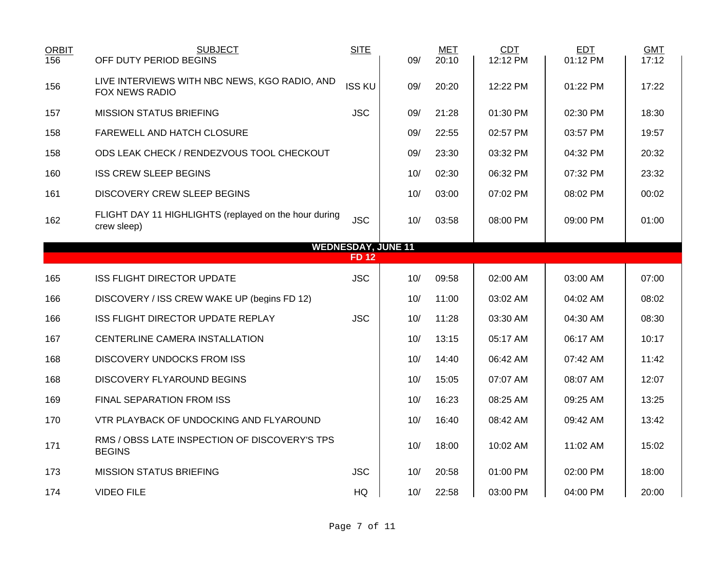| <b>ORBIT</b><br>156       | <b>SUBJECT</b><br>OFF DUTY PERIOD BEGINS                             | <b>SITE</b>   | 09/ | <b>MET</b><br>20:10 | CDT<br>12:12 PM | <b>EDT</b><br>01:12 PM | <b>GMT</b><br>17:12 |  |  |  |  |  |
|---------------------------|----------------------------------------------------------------------|---------------|-----|---------------------|-----------------|------------------------|---------------------|--|--|--|--|--|
| 156                       | LIVE INTERVIEWS WITH NBC NEWS, KGO RADIO, AND<br>FOX NEWS RADIO      | <b>ISS KU</b> | 09/ | 20:20               | 12:22 PM        | 01:22 PM               | 17:22               |  |  |  |  |  |
| 157                       | <b>MISSION STATUS BRIEFING</b>                                       | <b>JSC</b>    | 09/ | 21:28               | 01:30 PM        | 02:30 PM               | 18:30               |  |  |  |  |  |
| 158                       | <b>FAREWELL AND HATCH CLOSURE</b>                                    |               | 09/ | 22:55               | 02:57 PM        | 03:57 PM               | 19:57               |  |  |  |  |  |
| 158                       | ODS LEAK CHECK / RENDEZVOUS TOOL CHECKOUT                            |               | 09/ | 23:30               | 03:32 PM        | 04:32 PM               | 20:32               |  |  |  |  |  |
| 160                       | <b>ISS CREW SLEEP BEGINS</b>                                         |               | 10/ | 02:30               | 06:32 PM        | 07:32 PM               | 23:32               |  |  |  |  |  |
| 161                       | <b>DISCOVERY CREW SLEEP BEGINS</b>                                   |               | 10/ | 03:00               | 07:02 PM        | 08:02 PM               | 00:02               |  |  |  |  |  |
| 162                       | FLIGHT DAY 11 HIGHLIGHTS (replayed on the hour during<br>crew sleep) | <b>JSC</b>    | 10/ | 03:58               | 08:00 PM        | 09:00 PM               | 01:00               |  |  |  |  |  |
| <b>WEDNESDAY, JUNE 11</b> |                                                                      |               |     |                     |                 |                        |                     |  |  |  |  |  |
|                           |                                                                      | <b>FD 12</b>  |     |                     |                 |                        |                     |  |  |  |  |  |
| 165                       | <b>ISS FLIGHT DIRECTOR UPDATE</b>                                    | <b>JSC</b>    | 10/ | 09:58               | 02:00 AM        | 03:00 AM               | 07:00               |  |  |  |  |  |
| 166                       | DISCOVERY / ISS CREW WAKE UP (begins FD 12)                          |               | 10/ | 11:00               | 03:02 AM        | 04:02 AM               | 08:02               |  |  |  |  |  |
| 166                       | <b>ISS FLIGHT DIRECTOR UPDATE REPLAY</b>                             | <b>JSC</b>    | 10/ | 11:28               | 03:30 AM        | 04:30 AM               | 08:30               |  |  |  |  |  |
| 167                       | CENTERLINE CAMERA INSTALLATION                                       |               | 10/ | 13:15               | 05:17 AM        | 06:17 AM               | 10:17               |  |  |  |  |  |
| 168                       | <b>DISCOVERY UNDOCKS FROM ISS</b>                                    |               | 10/ | 14:40               | 06:42 AM        | 07:42 AM               | 11:42               |  |  |  |  |  |
| 168                       | DISCOVERY FLYAROUND BEGINS                                           |               | 10/ | 15:05               | 07:07 AM        | 08:07 AM               | 12:07               |  |  |  |  |  |
| 169                       | FINAL SEPARATION FROM ISS                                            |               | 10/ | 16:23               | 08:25 AM        | 09:25 AM               | 13:25               |  |  |  |  |  |
| 170                       | VTR PLAYBACK OF UNDOCKING AND FLYAROUND                              |               | 10/ | 16:40               | 08:42 AM        | 09:42 AM               | 13:42               |  |  |  |  |  |
| 171                       | RMS / OBSS LATE INSPECTION OF DISCOVERY'S TPS<br><b>BEGINS</b>       |               | 10/ | 18:00               | 10:02 AM        | 11:02 AM               | 15:02               |  |  |  |  |  |
| 173                       | <b>MISSION STATUS BRIEFING</b>                                       | <b>JSC</b>    | 10/ | 20:58               | 01:00 PM        | 02:00 PM               | 18:00               |  |  |  |  |  |
| 174                       | <b>VIDEO FILE</b>                                                    | HQ            | 10/ | 22:58               | 03:00 PM        | 04:00 PM               | 20:00               |  |  |  |  |  |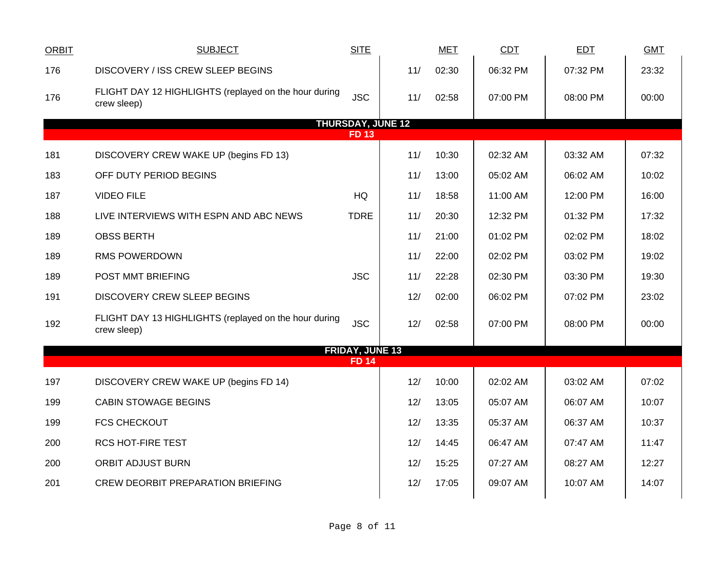| <b>ORBIT</b> | <b>SUBJECT</b>                                                                     | <b>SITE</b>              |     | <b>MET</b> | CDT      | <b>EDT</b> | <b>GMT</b> |  |
|--------------|------------------------------------------------------------------------------------|--------------------------|-----|------------|----------|------------|------------|--|
| 176          | DISCOVERY / ISS CREW SLEEP BEGINS                                                  |                          | 11/ | 02:30      | 06:32 PM | 07:32 PM   | 23:32      |  |
| 176          | FLIGHT DAY 12 HIGHLIGHTS (replayed on the hour during<br>crew sleep)               | <b>JSC</b>               | 11/ | 02:58      | 07:00 PM | 08:00 PM   | 00:00      |  |
|              |                                                                                    | <b>THURSDAY, JUNE 12</b> |     |            |          |            |            |  |
|              |                                                                                    | $FD$ 13                  |     |            |          |            |            |  |
| 181          | DISCOVERY CREW WAKE UP (begins FD 13)                                              |                          | 11/ | 10:30      | 02:32 AM | 03:32 AM   | 07:32      |  |
| 183          | OFF DUTY PERIOD BEGINS                                                             |                          | 11/ | 13:00      | 05:02 AM | 06:02 AM   | 10:02      |  |
| 187          | <b>VIDEO FILE</b>                                                                  | <b>HQ</b>                | 11/ | 18:58      | 11:00 AM | 12:00 PM   | 16:00      |  |
| 188          | LIVE INTERVIEWS WITH ESPN AND ABC NEWS                                             | <b>TDRE</b>              | 11/ | 20:30      | 12:32 PM | 01:32 PM   | 17:32      |  |
| 189          | <b>OBSS BERTH</b>                                                                  |                          | 11/ | 21:00      | 01:02 PM | 02:02 PM   | 18:02      |  |
| 189          | <b>RMS POWERDOWN</b>                                                               |                          | 11/ | 22:00      | 02:02 PM | 03:02 PM   | 19:02      |  |
| 189          | POST MMT BRIEFING                                                                  | <b>JSC</b>               | 11/ | 22:28      | 02:30 PM | 03:30 PM   | 19:30      |  |
| 191          | <b>DISCOVERY CREW SLEEP BEGINS</b>                                                 |                          | 12/ | 02:00      | 06:02 PM | 07:02 PM   | 23:02      |  |
| 192          | FLIGHT DAY 13 HIGHLIGHTS (replayed on the hour during<br><b>JSC</b><br>crew sleep) |                          | 12/ | 02:58      | 07:00 PM | 08:00 PM   | 00:00      |  |
|              |                                                                                    | <b>FRIDAY, JUNE 13</b>   |     |            |          |            |            |  |
|              |                                                                                    | <b>FD 14</b>             |     |            |          |            |            |  |
| 197          | DISCOVERY CREW WAKE UP (begins FD 14)                                              |                          | 12/ | 10:00      | 02:02 AM | 03:02 AM   | 07:02      |  |
| 199          | <b>CABIN STOWAGE BEGINS</b>                                                        |                          | 12/ | 13:05      | 05:07 AM | 06:07 AM   | 10:07      |  |
| 199          | <b>FCS CHECKOUT</b>                                                                |                          | 12/ | 13:35      | 05:37 AM | 06:37 AM   | 10:37      |  |
| 200          | <b>RCS HOT-FIRE TEST</b>                                                           |                          | 12/ | 14:45      | 06:47 AM | 07:47 AM   | 11:47      |  |
| 200          | <b>ORBIT ADJUST BURN</b>                                                           |                          | 12/ | 15:25      | 07:27 AM | 08:27 AM   | 12:27      |  |
| 201          | <b>CREW DEORBIT PREPARATION BRIEFING</b>                                           |                          | 12/ | 17:05      | 09:07 AM | 10:07 AM   | 14:07      |  |
|              |                                                                                    |                          |     |            |          |            |            |  |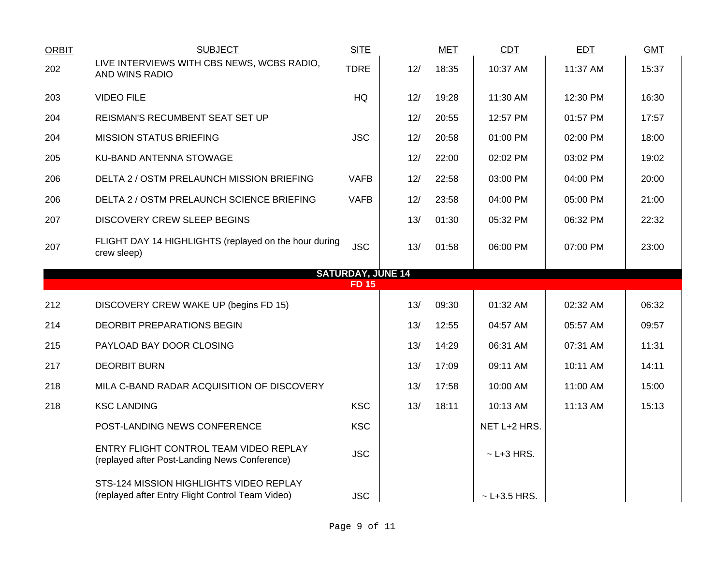| <b>ORBIT</b>             | <b>SUBJECT</b>                                                                          | <b>SITE</b> |     | <b>MET</b> | <b>CDT</b>      | <b>EDT</b> | <b>GMT</b> |  |  |  |
|--------------------------|-----------------------------------------------------------------------------------------|-------------|-----|------------|-----------------|------------|------------|--|--|--|
| 202                      | LIVE INTERVIEWS WITH CBS NEWS, WCBS RADIO,<br>AND WINS RADIO                            | <b>TDRE</b> | 12/ | 18:35      | 10:37 AM        | 11:37 AM   | 15:37      |  |  |  |
| 203                      | <b>VIDEO FILE</b>                                                                       | <b>HQ</b>   | 12/ | 19:28      | 11:30 AM        | 12:30 PM   | 16:30      |  |  |  |
| 204                      | REISMAN'S RECUMBENT SEAT SET UP                                                         |             | 12/ | 20:55      | 12:57 PM        | 01:57 PM   | 17:57      |  |  |  |
| 204                      | <b>MISSION STATUS BRIEFING</b>                                                          | <b>JSC</b>  | 12/ | 20:58      | 01:00 PM        | 02:00 PM   | 18:00      |  |  |  |
| 205                      | KU-BAND ANTENNA STOWAGE                                                                 |             | 12/ | 22:00      | 02:02 PM        | 03:02 PM   | 19:02      |  |  |  |
| 206                      | DELTA 2 / OSTM PRELAUNCH MISSION BRIEFING                                               | <b>VAFB</b> | 12/ | 22:58      | 03:00 PM        | 04:00 PM   | 20:00      |  |  |  |
| 206                      | DELTA 2 / OSTM PRELAUNCH SCIENCE BRIEFING                                               | <b>VAFB</b> | 12/ | 23:58      | 04:00 PM        | 05:00 PM   | 21:00      |  |  |  |
| 207                      | <b>DISCOVERY CREW SLEEP BEGINS</b>                                                      |             | 13/ | 01:30      | 05:32 PM        | 06:32 PM   | 22:32      |  |  |  |
| 207                      | FLIGHT DAY 14 HIGHLIGHTS (replayed on the hour during<br>crew sleep)                    | <b>JSC</b>  | 13/ | 01:58      | 06:00 PM        | 07:00 PM   | 23:00      |  |  |  |
| <b>SATURDAY, JUNE 14</b> |                                                                                         |             |     |            |                 |            |            |  |  |  |
|                          |                                                                                         |             |     |            |                 |            |            |  |  |  |
|                          |                                                                                         | <b>FD15</b> |     |            |                 |            |            |  |  |  |
| 212                      | DISCOVERY CREW WAKE UP (begins FD 15)                                                   |             | 13/ | 09:30      | 01:32 AM        | 02:32 AM   | 06:32      |  |  |  |
| 214                      | DEORBIT PREPARATIONS BEGIN                                                              |             | 13/ | 12:55      | 04:57 AM        | 05:57 AM   | 09:57      |  |  |  |
| 215                      | PAYLOAD BAY DOOR CLOSING                                                                |             | 13/ | 14:29      | 06:31 AM        | 07:31 AM   | 11:31      |  |  |  |
| 217                      | <b>DEORBIT BURN</b>                                                                     |             | 13/ | 17:09      | 09:11 AM        | 10:11 AM   | 14:11      |  |  |  |
| 218                      | MILA C-BAND RADAR ACQUISITION OF DISCOVERY                                              |             | 13/ | 17:58      | 10:00 AM        | 11:00 AM   | 15:00      |  |  |  |
| 218                      | <b>KSC LANDING</b>                                                                      | <b>KSC</b>  | 13/ | 18:11      | 10:13 AM        | 11:13 AM   | 15:13      |  |  |  |
|                          | POST-LANDING NEWS CONFERENCE                                                            | <b>KSC</b>  |     |            | NET L+2 HRS.    |            |            |  |  |  |
|                          | ENTRY FLIGHT CONTROL TEAM VIDEO REPLAY<br>(replayed after Post-Landing News Conference) | <b>JSC</b>  |     |            | $\sim$ L+3 HRS. |            |            |  |  |  |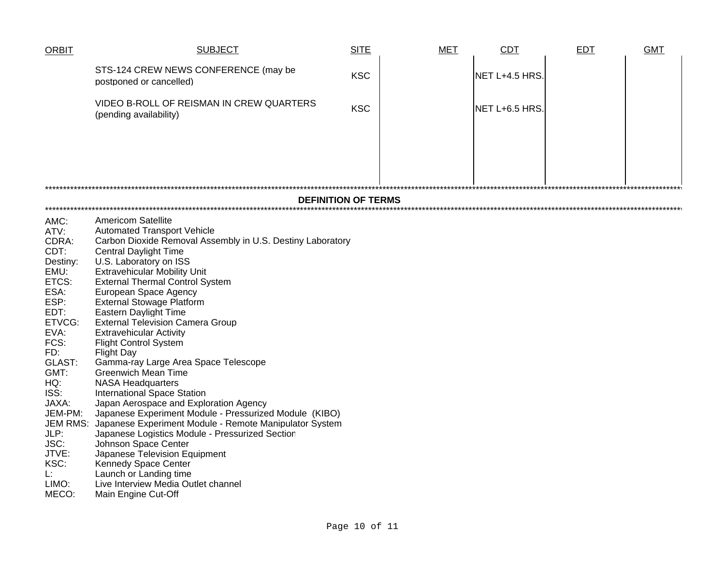| ORBIT                                                                                                                                                                                                                                                | <b>SUBJECT</b>                                                                                                                                                                                                                                                                                                                                                                                                                                                                                                                                                                                                                                                                                                                                                                                                                                                                                                                                                                                                                     | <b>SITE</b> | <b>MET</b> | <b>CDT</b>     | <b>EDT</b> | <b>GMT</b> |  |  |  |  |  |
|------------------------------------------------------------------------------------------------------------------------------------------------------------------------------------------------------------------------------------------------------|------------------------------------------------------------------------------------------------------------------------------------------------------------------------------------------------------------------------------------------------------------------------------------------------------------------------------------------------------------------------------------------------------------------------------------------------------------------------------------------------------------------------------------------------------------------------------------------------------------------------------------------------------------------------------------------------------------------------------------------------------------------------------------------------------------------------------------------------------------------------------------------------------------------------------------------------------------------------------------------------------------------------------------|-------------|------------|----------------|------------|------------|--|--|--|--|--|
|                                                                                                                                                                                                                                                      | STS-124 CREW NEWS CONFERENCE (may be<br>postponed or cancelled)                                                                                                                                                                                                                                                                                                                                                                                                                                                                                                                                                                                                                                                                                                                                                                                                                                                                                                                                                                    | <b>KSC</b>  |            | NET L+4.5 HRS  |            |            |  |  |  |  |  |
|                                                                                                                                                                                                                                                      | VIDEO B-ROLL OF REISMAN IN CREW QUARTERS<br>(pending availability)                                                                                                                                                                                                                                                                                                                                                                                                                                                                                                                                                                                                                                                                                                                                                                                                                                                                                                                                                                 | <b>KSC</b>  |            | NET L+6.5 HRS. |            |            |  |  |  |  |  |
|                                                                                                                                                                                                                                                      |                                                                                                                                                                                                                                                                                                                                                                                                                                                                                                                                                                                                                                                                                                                                                                                                                                                                                                                                                                                                                                    |             |            |                |            |            |  |  |  |  |  |
|                                                                                                                                                                                                                                                      |                                                                                                                                                                                                                                                                                                                                                                                                                                                                                                                                                                                                                                                                                                                                                                                                                                                                                                                                                                                                                                    |             |            |                |            |            |  |  |  |  |  |
|                                                                                                                                                                                                                                                      | <b>DEFINITION OF TERMS</b>                                                                                                                                                                                                                                                                                                                                                                                                                                                                                                                                                                                                                                                                                                                                                                                                                                                                                                                                                                                                         |             |            |                |            |            |  |  |  |  |  |
| AMC:<br>ATV:<br>CDRA:<br>CDT:<br>Destiny:<br>EMU:<br>ETCS:<br>ESA:<br>ESP:<br>EDT:<br>ETVCG:<br>EVA:<br>FCS:<br>FD:<br>GLAST:<br>GMT:<br>HQ:<br>ISS:<br>JAXA:<br>JEM-PM:<br><b>JEM RMS:</b><br>JLP:<br>JSC:<br>JTVE:<br>KSC:<br>Ŀ.<br>LIMO:<br>MECO: | <b>Americom Satellite</b><br><b>Automated Transport Vehicle</b><br>Carbon Dioxide Removal Assembly in U.S. Destiny Laboratory<br><b>Central Daylight Time</b><br>U.S. Laboratory on ISS<br><b>Extravehicular Mobility Unit</b><br><b>External Thermal Control System</b><br>European Space Agency<br><b>External Stowage Platform</b><br>Eastern Daylight Time<br><b>External Television Camera Group</b><br><b>Extravehicular Activity</b><br><b>Flight Control System</b><br><b>Flight Day</b><br>Gamma-ray Large Area Space Telescope<br><b>Greenwich Mean Time</b><br><b>NASA Headquarters</b><br><b>International Space Station</b><br>Japan Aerospace and Exploration Agency<br>Japanese Experiment Module - Pressurized Module (KIBO)<br>Japanese Experiment Module - Remote Manipulator System<br>Japanese Logistics Module - Pressurized Section<br>Johnson Space Center<br>Japanese Television Equipment<br>Kennedy Space Center<br>Launch or Landing time<br>Live Interview Media Outlet channel<br>Main Engine Cut-Off |             |            |                |            |            |  |  |  |  |  |